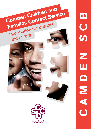

က<br>ပ<br>(၁ CAMDEN SCB Z Ш ONNO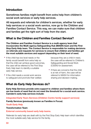## Introduction

Sometimes families might benefit from extra help from children's social work services or early help services.

All requests and referrals for children's services, whether for early help services or a social work service, now go to the Children and Families Contact Service. This way, we can make sure that children and families get the right sort of help from the start.

## What is the Children and Families Contact Service?

**The Children and Families Contact Service is a multi-agency team that incorporates the Multi-agency Safeguarding Hub (MASH) team and the First Stop Early Help team. The Contact Service is responsible for making decisions on referrals and requests for services to ensure that children and families get the most suitable services and support depending on their level of need.**

- If the child has low level needs or the family would benefit from extra help so that the child can achieve good outcomes, the case will be referred to the First Stop Early Help team to identify a suitable early help service.
- If the child needs a social work service to safeguard and promote their welfare

because they are a child in need, the case will be referred to Children's Safeguarding and Social Work (CSSW) for assessment.

• If there are concerns that the child is at risk of harm, the case will be referred to MASH for information sharing and decision-making.

# What do Early Help Services do?

**Early Help Services provide extra support to children and families where there are low levels of need that do not meet the threshold for a social work service. Camden's early help services include:**

### **Integrated Early Years Services (Children Centre family support services)**

### **Family Services (previously known as Families in Focus)**

### **Youth Early Help**

### **Transformation Team**

**External community based early help teams.**

Referrals for early help are dealt with by the First Stop Early Help team which identifies the most suitable early help service for the family.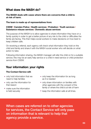## What does the MASH do?

**The MASH deals with cases where there are concerns that a child is at risk of harm.** 

**The team is made up of representatives from:** 

#### **CSSW | Camden Police | Health services | Probation | Youth services | Substance misuse services | Domestic abuse services**

The purpose of the MASH is to allow agencies to share information they have on a family quickly in order to get a better picture of any risk to the child or difficulties the family are facing. This then helps social workers to make decisions on how best to keep children safe.

On receiving a referral, each agency will check what information they hold on the child and family and share it with the MASH social worker who will decide on what action to take.

Following information sharing, the MASH manager will refer the child on for a suitable service; this may be an early help service or a child in need service or child protection service from CSSW.

# Your information: your rights

### **The Contact Service will:**

- only hold information that we need to help families
- only use the information for that reason
- make sure the information is held securely
- only keep the information for as long as it is needed
- only share information on families with other agencies with the consent of the family or where the child is at risk of harm
- keep the information safe at all times.

When cases are referred on to other agencies for services, the Contact Service will only pass on information that is relevant to help that agency provide a service.